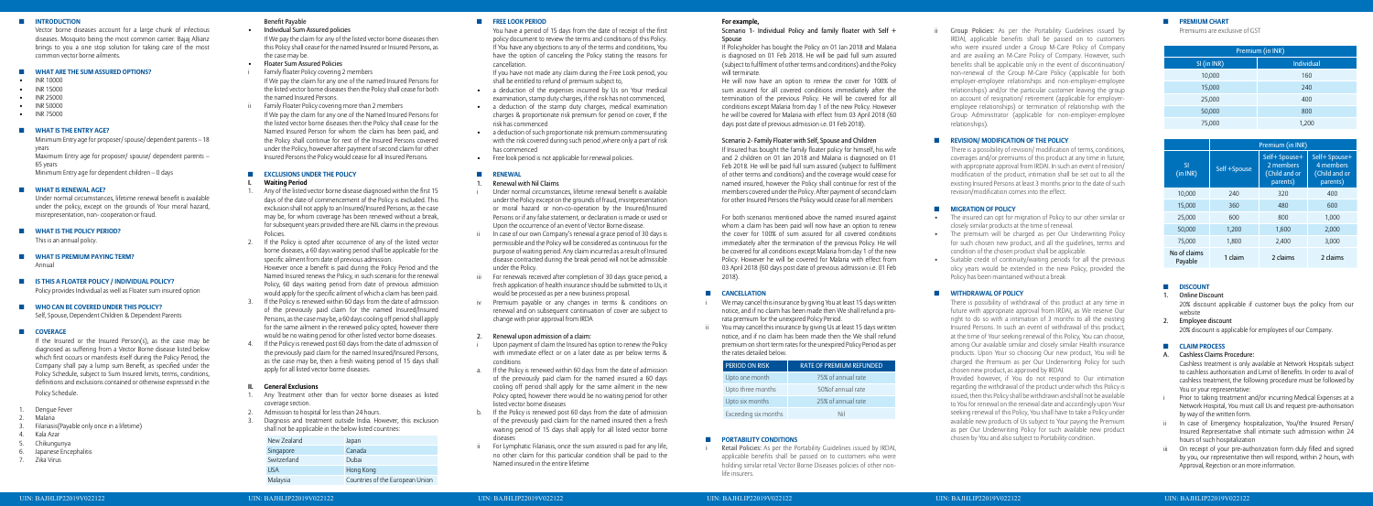## $\P$  INTRODUCTION

Vector borne diseases account for a large chunk of infectious diseases. Mosquito being the most common carrier. Bajaj Allianz brings to you a one stop solution for taking care of the most common vector borne ailments.

#### ■ **WHAT ARE THE SUM ASSURED OPTIONS?**

- INR 10000
- INR 15000
- INR 25000
- INR 50000
- INR 75000

## $\blacksquare$  WHAT IS THE ENTRY AGE?

Minimum Entry age for proposer/spouse/ dependent parents – 18 years

- **WHAT IS PREMIUM PAYING TERM?**  Annual
- ◼ **Is this a floater policy / individual policy?** Policy provides Individual as well as Floater sum insured option

Maximum Entry age for proposer/ spouse/ dependent parents – 65 years

 Minimum Entry age for dependent children – 0 days

## **WHAT IS RENEWAL AGE?**

Under normal circumstances, lifetime renewal benefit is available under the policy, except on the grounds of Your moral hazard, misrepresentation, non- cooperation or fraud.

## $\Pi$  WHAT IS THE POLICY PERIOD?

- Dengue Fever
- **Malaria**
- Filariasis(Payable only once in a lifetime)
- Kala Azar
- Chikungunya
- 6. Japanese Encephalitis
- 7. Zika Virus

 This is an annual policy.

## ◼ **Who can be covered under this Policy?**

 Self, Spouse, Dependent Children & Dependent Parents

## ■ **COVERAGE**

- **Floater Sum Assured Policies**
- Family floater Policy covering 2 members If We pay the claim for any one of the named Insured Persons for the listed vector borne diseasesthen the Policy shall cease for both the named Insured Persons.
- Family Floater Policy covering more than 2 members If We pay the claim for any one of the Named Insured Persons for the listed vector borne diseases then the Policy shall cease for the Named Insured Person for whom the claim has been paid, and the Policy shall continue for rest of the Insured Persons covered under the Policy, however after payment of second claim for other Insured Persons the Policy would cease for all Insured Persons.

# **EXCLUSIONS UNDER THE POLICY**

## **Waiting Period**

If the Insured or the Insured Person(s), as the case may be diagnosed as suffering from a Vector Borne disease listed below which first occurs or manifests itself during the Policy Period, the Company shall pay a lump sum Benefit, as specified under the Policy Schedule, subject to Sum Insured limits, terms, conditions, definitions and exclusions contained or otherwise expressed in the Policy Schedule.

# Benefit Payable

## **Individual Sum Assured policies**

If We pay the claim for any of the listed vector borne diseases then this Policy shall cease for the named Insured or Insured Persons, as the case may be.

- Any of the listed vector borne disease diagnosed within the first 15 days of the date of commencement of the Policy is excluded. This exclusion shall not apply to an Insured/Insured Persons, asthe case may be, for whom coverage has been renewed without a break, for subsequent years provided there are NIL claims in the previous Policies.
- If the Policy is opted after occurrence of any of the listed vector borne diseases, a 60 days waiting period shall be applicable for the specific ailment from date of previous admission. However once a benefit is paid during the Policy Period and the Named Insured renews the Policy, in such scenario for the renewal Policy, 60 days waiting period from date of previous admission would apply for the specific ailment of which a claim has been paid.
- If the Policy is renewed within 60 days from the date of admission of the previously paid claim for the named Insured/Insured Persons, asthe case may be, a 60 days cooling off period shall apply for the same ailment in the renewed policy opted, however there would be no waiting period for other listed vector borne diseases.
- If the Policy is renewed post 60 days from the date of admission of the previously paid claim for the named Insured/Insured Persons, as the case may be, then a fresh waiting period of 15 days shall apply for all listed vector borne diseases.

- 1. Any Treatment other than for vector borne diseases as listed coverage section.
- Admission to hospital for less than 24 hours.
- 3. Diagnosis and treatment outside India. However, this exclusion shall not be applicable in the below listed countries:
- Under normal circumstances, lifetime renewal benefit is available underthe Policy except on the grounds of fraud, misrepresentation or moral hazard or non-co-operation by the Insured/Insured Persons or if any false statement, or declaration is made or used or Upon the occurrence of an event of Vector Borne disease.
- In case of our own Company's renewal a grace period of 30 days is permissible and the Policy will be considered as continuous for the purpose ofwaiting period. Any claim incurred as a result of Insured disease contracted during the break period will not be admissible under the Policy.
- For renewals received after completion of 30 days grace period, a fresh application of health insurance should be submitted to Us, it would be processed as per a new business proposal.
- iv Premium payable or any changes in terms & conditions on renewal and on subsequent continuation of cover are subject to change with prior approval from IRDA

## Renewal upon admission of a claim:

- Upon payment of claim the Insured has option to renew the Policy with immediate effect or on a later date as per below terms & conditions
- a. If the Policy is renewed within 60 days from the date of admission of the previously paid claim for the named insured a 60 days cooling off period shall apply for the same ailment in the new Policy opted, however there would be no waiting period for other listed vector borne diseases
- b. If the Policy is renewed post 60 days from the date of admission of the previously paid claim for the named insured then a fresh waiting period of 15 days shall apply for all listed vector borne diseases
- For Lymphatic Filariasis, once the sum assured is paid for any life. no other claim for this particular condition shall be paid to the Named insured in the entire lifetime

Spouse will terminate.

# **II. General Exclusions**

| New Zealand | Japan                           |
|-------------|---------------------------------|
| Singapore   | Canada                          |
| Switzerland | Dubai                           |
| <b>USA</b>  | Hong Kong                       |
| Malaysia    | Countries of the European Union |

## **EREE LOOK PERIOD**

We may cancel this insurance by giving You at least 15 days written notice, and if no claim has been made then We shall refund a prorata premium for the unexpired Policy Period.

ii You may cancel this insurance by giving Us at least 15 days written notice, and if no claim has been made then the We shall refund premium on short term rates for the unexpired Policy Period as per

| ïΚ     | <b>RATE OF PREMIUM REFUNDED</b> |
|--------|---------------------------------|
| th     | 75% of annual rate              |
| nths   | 50% of annual rate              |
| ìS     | 25% of annual rate              |
| nonths | Nil                             |

 You have a period of 15 days from the date of receipt of the first policy document to review the terms and conditions of this Policy. If You have any objections to any of the terms and conditions, You have the option of canceling the Policy stating the reasons for cancellation.

> Retail Policies: As per the Portability Guidelines issued by IRDAI, applicable benefits shall be passed on to customers who were holding similar retail Vector Borne Diseases policies of other non-

If you have not made any claim during the Free Look period, you shall be entitled to refund of premium subject to,

- a deduction of the expenses incurred by Us on Your medical examination, stamp duty charges, if the risk has not commenced,
- a deduction of the stamp duty charges, medical examination charges & proportionate risk premium for period on cover, If the risk has commenced
- • a deduction of such proportionate risk premium commensurating with the risk covered during such period ,where only a part of risk has commenced
- Free look period is not applicable for renewal policies.

## **RENEWAL**

## Renewal with Nil Claims

**Group Policies:** As per the Portability Guidelines issued by IRDAI, applicable benefits shall be passed on to customers who were insured under a Group M-Care Policy of Company and are availing an M-Care Policy of Company. However, such benefits shall be applicable only in the event of discontinuation/ non-renewal of the Group M-Care Policy (applicable for both employer-employee relationships and non-employer-employee relationships) and/or the particular customer leaving the group on account of resignation/ retirement (applicable for employeremployee relationships) or termination of relationship with the Group Administrator (applicable for non-employer-employee relationships).

- The insured can opt for migration of Policy to our other similar or closely similar products at the time of renewal.
- The premium will be charged as per Our Underwriting Policy for such chosen new product, and all the guidelines, terms and condition of the chosen product shall be applicable.
- Suitable credit of continuity/waiting periods for all the previous olicy years would be extended in the new Policy, provided the Policy has been maintained without a break

# $\Pi$  WITHDRAWAL OF POLICY

- Prior to taking treatment and/or incurring Medical Expenses at a Network Hospital, You must call Us and request pre-authorisation by way of the written form.
- ii In case of Emergency hospitalization. You/the Insured Person/ Insured Representative shall intimate such admission within 24 hours of such hospitalization
- On receipt of your pre-authorization form duly filled and signed by you, our representative then will respond, within 2 hours, with Approval, Rejection or an more information.

#### **For example,**

# Scenario 1- Individual Policy and family floater with Self +

If Policyholder has bought the Policy on 01 Jan 2018 and Malaria is diagnosed on 01 Feb 2018. He will be paid full sum assured (subject to fulfilment of other terms and conditions) and the Policy

He will now have an option to renew the cover for 100% of sum assured for all covered conditions immediately after the termination of the previous Policy. He will be covered for all conditions except Malaria from day 1 of the new Policy. However he will be covered for Malaria with effect from 03 April 2018 (60 days post date of previous admission i.e. 01 Feb 2018).

# Scenario 2- Family Floater with Self, Spouse and Children

If Insured has bought the family floater policy for himself, his wife and 2 children on 01 Jan 2018 and Malaria is diagnosed on 01 Feb 2018. He will be paid full sum assured (subject to fulfilment of other terms and conditions) and the coverage would cease for named insured, however the Policy shall continue for rest of the members covered under the Policy. After payment of second claim for other Insured Persons the Policy would cease for all members

For both scenarios mentioned above the named insured against whom a claim has been paid will now have an option to renew the cover for 100% of sum assured for all covered conditions immediately after the termination of the previous Policy. He will be covered for all conditions except Malaria from day 1 of the new Policy. However he will be covered for Malaria with effect from 03 April 2018 (60 days post date of previous admission i.e. 01 Feb 2018).

# $\blacksquare$  **CANCELLATION**

the rates detailed below.

# **PERIOD ON RI**

Upto one mon

- Upto three mo
- Upto six month

Exceeding six n

# $\blacksquare$  **PORTABILITY CONDITIONS**

life insurers.

# ◼ **Revision/ Modification of the policy**

There is a possibility of revision/ modification of terms, conditions, coverages and/or premiums of this product at any time in future, with appropriate approval from IRDAI. In such an event of revision/ modification of the product, intimation shall be set out to all the existing Insured Persons at least 3 months prior to the date of such revision/modification comes into the effect.

# ◼ **Migration of policy**

There is possibility of withdrawal of this product at any time in future with appropriate approval from IRDAI, as We reserve Our right to do so with a intimation of 3 months to all the existing Insured Persons. In such an event of withdrawal of this product, at the time of Your seeking renewal of this Policy, You can choose, among Our available similar and closely similar Health insurance products. Upon Your so choosing Our new product, You will be charged the Premium as per Our Underwriting Policy for such chosen new product, as approved by IRDAI.

Provided however, if You do not respond to Our intimation regarding the withdrawal of the product under which this Policy is issued, then this Policy shall be withdrawn and shall not be available to You for renewal on the renewal date and accordingly upon Your seeking renewal of this Policy, You shall have to take a Policy under available new products of Us subject to Your paying the Premium as per Our Underwriting Policy for such available new product chosen by You and also subject to Portability condition.

# $P$ **REMIUM CHART**

 Premiums are exclusive of GST

| Premium (in INR) |                   |  |  |  |  |
|------------------|-------------------|--|--|--|--|
| SI (in INR)      | <b>Individual</b> |  |  |  |  |
| 10,000           | 160               |  |  |  |  |
| 15,000           | 240               |  |  |  |  |
| 25,000           | 400               |  |  |  |  |
| 50,000           | 800               |  |  |  |  |
| 75,000           | 1,200             |  |  |  |  |

|                         | Premium (in INR) |                                                         |                                                         |  |  |  |  |
|-------------------------|------------------|---------------------------------------------------------|---------------------------------------------------------|--|--|--|--|
| <b>SI</b><br>(in INR)   | Self +Spouse     | Self+ Spouse+<br>2 members<br>(Child and or<br>parents) | Self+ Spouse+<br>4 members<br>(Child and or<br>parents) |  |  |  |  |
| 10,000                  | 240              | 320                                                     | 400                                                     |  |  |  |  |
| 15,000                  | 360              | 480                                                     | 600                                                     |  |  |  |  |
| 25,000                  | 600              | 800                                                     | 1,000                                                   |  |  |  |  |
| 50.000                  | 1,200            | 1,600                                                   | 2,000                                                   |  |  |  |  |
| 75,000                  | 1,800            | 2,400                                                   | 3,000                                                   |  |  |  |  |
| No of claims<br>Payable | 1 claim          | 2 claims                                                | 2 claims                                                |  |  |  |  |

# ■ **DISCOUNT**

# Online Discount

20% discount applicable if customer buys the policy from our website

# 2. Employee discount

 20% discount is applicable for employees of our Company.

# ◼ **Claim Process**

## A. Cashless Claims Procedure:

Cashless treatment is only available at Network Hospitals subject to cashless authorisation and Limit of Benefits. In order to avail of cashless treatment, the following procedure must be followed by You or your representative: